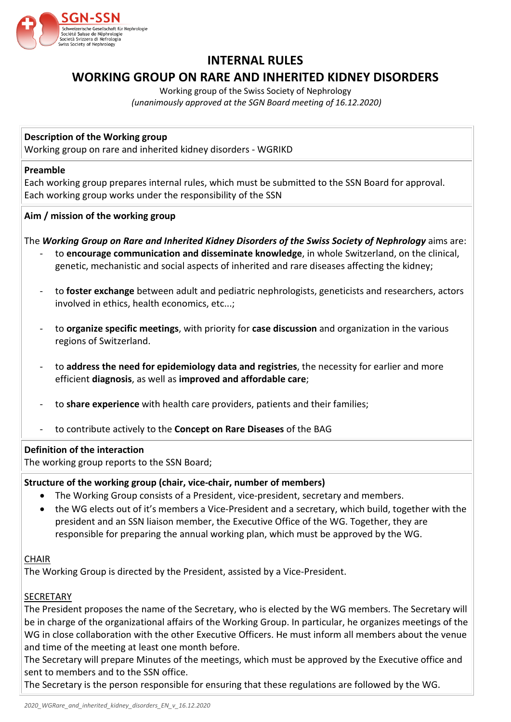

# **INTERNAL RULES**

## **WORKING GROUP ON RARE AND INHERITED KIDNEY DISORDERS**

Working group of the Swiss Society of Nephrology *(unanimously approved at the SGN Board meeting of 16.12.2020)*

## **Description of the Working group**

Working group on rare and inherited kidney disorders - WGRIKD

#### **Preamble**

Each working group prepares internal rules, which must be submitted to the SSN Board for approval. Each working group works under the responsibility of the SSN

## **Aim / mission of the working group**

The *Working Group on Rare and Inherited Kidney Disorders of the Swiss Society of Nephrology* aims are:

- to **encourage communication and disseminate knowledge**, in whole Switzerland, on the clinical, genetic, mechanistic and social aspects of inherited and rare diseases affecting the kidney;
- to **foster exchange** between adult and pediatric nephrologists, geneticists and researchers, actors involved in ethics, health economics, etc...;
- to **organize specific meetings**, with priority for **case discussion** and organization in the various regions of Switzerland.
- to **address the need for epidemiology data and registries**, the necessity for earlier and more efficient **diagnosis**, as well as **improved and affordable care**;
- to **share experience** with health care providers, patients and their families;
- to contribute actively to the **Concept on Rare Diseases** of the BAG

## **Definition of the interaction**

The working group reports to the SSN Board;

## **Structure of the working group (chair, vice-chair, number of members)**

- The Working Group consists of a President, vice-president, secretary and members.
- the WG elects out of it's members a Vice-President and a secretary, which build, together with the president and an SSN liaison member, the Executive Office of the WG. Together, they are responsible for preparing the annual working plan, which must be approved by the WG.

## **CHAIR**

The Working Group is directed by the President, assisted by a Vice-President.

## SECRETARY

The President proposes the name of the Secretary, who is elected by the WG members. The Secretary will be in charge of the organizational affairs of the Working Group. In particular, he organizes meetings of the WG in close collaboration with the other Executive Officers. He must inform all members about the venue and time of the meeting at least one month before.

The Secretary will prepare Minutes of the meetings, which must be approved by the Executive office and sent to members and to the SSN office.

The Secretary is the person responsible for ensuring that these regulations are followed by the WG.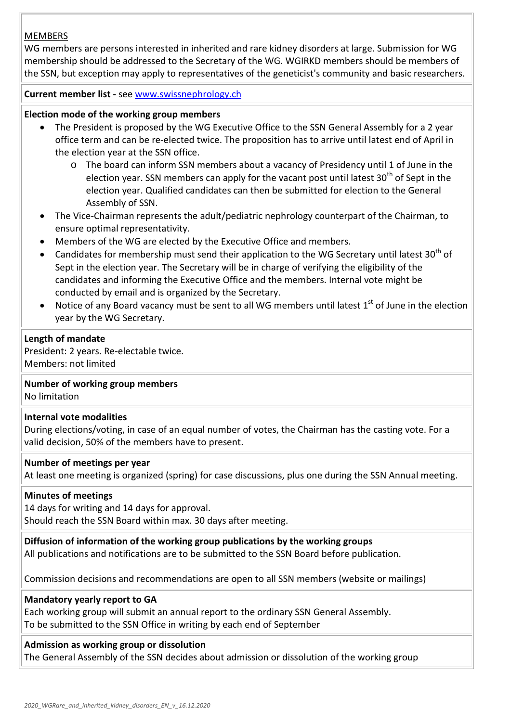## **MEMBERS**

WG members are persons interested in inherited and rare kidney disorders at large. Submission for WG membership should be addressed to the Secretary of the WG. WGIRKD members should be members of the SSN, but exception may apply to representatives of the geneticist's community and basic researchers.

**Current member list -** see [www.swissnephrology.ch](http://www.swissnephrology.ch/)

## **Election mode of the working group members**

- The President is proposed by the WG Executive Office to the SSN General Assembly for a 2 year office term and can be re-elected twice. The proposition has to arrive until latest end of April in the election year at the SSN office.
	- o The board can inform SSN members about a vacancy of Presidency until 1 of June in the election year. SSN members can apply for the vacant post until latest  $30<sup>th</sup>$  of Sept in the election year. Qualified candidates can then be submitted for election to the General Assembly of SSN.
- The Vice-Chairman represents the adult/pediatric nephrology counterpart of the Chairman, to ensure optimal representativity.
- Members of the WG are elected by the Executive Office and members.
- Candidates for membership must send their application to the WG Secretary until latest  $30<sup>th</sup>$  of Sept in the election year. The Secretary will be in charge of verifying the eligibility of the candidates and informing the Executive Office and the members. Internal vote might be conducted by email and is organized by the Secretary.
- Notice of any Board vacancy must be sent to all WG members until latest  $1<sup>st</sup>$  of June in the election year by the WG Secretary.

## **Length of mandate**

President: 2 years. Re-electable twice. Members: not limited

## **Number of working group members**

No limitation

## **Internal vote modalities**

During elections/voting, in case of an equal number of votes, the Chairman has the casting vote. For a valid decision, 50% of the members have to present.

## **Number of meetings per year**

At least one meeting is organized (spring) for case discussions, plus one during the SSN Annual meeting.

## **Minutes of meetings**

14 days for writing and 14 days for approval. Should reach the SSN Board within max. 30 days after meeting.

## **Diffusion of information of the working group publications by the working groups**

All publications and notifications are to be submitted to the SSN Board before publication.

Commission decisions and recommendations are open to all SSN members (website or mailings)

## **Mandatory yearly report to GA**

Each working group will submit an annual report to the ordinary SSN General Assembly. To be submitted to the SSN Office in writing by each end of September

## **Admission as working group or dissolution**

The General Assembly of the SSN decides about admission or dissolution of the working group